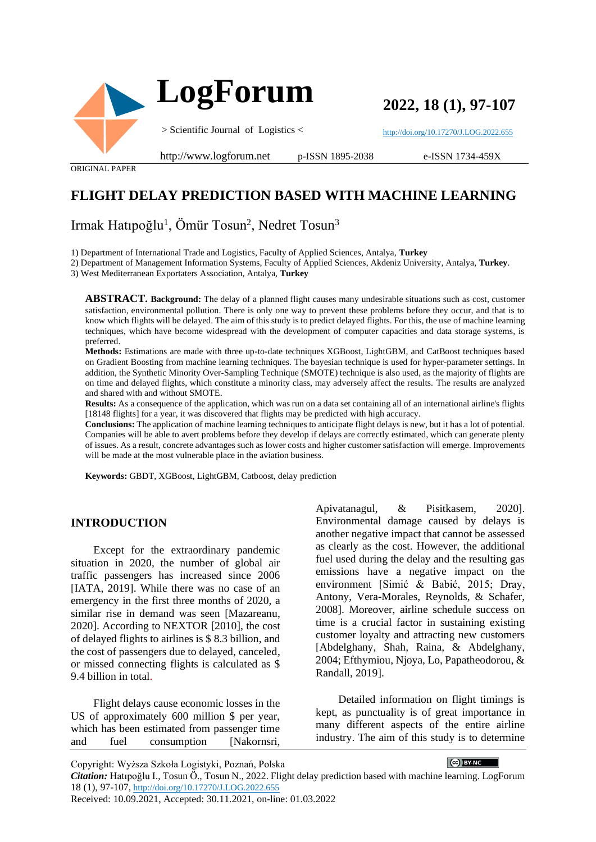

**2022, 18 (1), 97-107**

<http://doi.org/10.17270/J.LOG.2022.655>

ORIGINAL PAPER

#### http://www.logforum.net p-ISSN 1895-2038

e-ISSN 1734-459X

# **FLIGHT DELAY PREDICTION BASED WITH MACHINE LEARNING**

# Irmak Hatıpoğlu<sup>1</sup>, Ömür Tosun<sup>2</sup>, Nedret Tosun<sup>3</sup>

1) Department of International Trade and Logistics, Faculty of Applied Sciences, Antalya, **Turkey**

2) Department of Management Information Systems, Faculty of Applied Sciences, Akdeniz University, Antalya, **Turkey**.

3) West Mediterranean Exportaters Association, Antalya, **Turkey**

**ABSTRACT. Background:** The delay of a planned flight causes many undesirable situations such as cost, customer satisfaction, environmental pollution. There is only one way to prevent these problems before they occur, and that is to know which flights will be delayed. The aim of this study is to predict delayed flights. For this, the use of machine learning techniques, which have become widespread with the development of computer capacities and data storage systems, is preferred.

**Methods:** Estimations are made with three up-to-date techniques XGBoost, LightGBM, and CatBoost techniques based on Gradient Boosting from machine learning techniques. The bayesian technique is used for hyper-parameter settings. In addition, the Synthetic Minority Over-Sampling Technique (SMOTE) technique is also used, as the majority of flights are on time and delayed flights, which constitute a minority class, may adversely affect the results. The results are analyzed and shared with and without SMOTE.

**Results:** As a consequence of the application, which was run on a data set containing all of an international airline's flights [18148 flights] for a year, it was discovered that flights may be predicted with high accuracy.

**Conclusions:** The application of machine learning techniques to anticipate flight delays is new, but it has a lot of potential. Companies will be able to avert problems before they develop if delays are correctly estimated, which can generate plenty of issues. As a result, concrete advantages such as lower costs and higher customer satisfaction will emerge. Improvements will be made at the most vulnerable place in the aviation business.

**Keywords:** GBDT, XGBoost, LightGBM, Catboost, delay prediction

# **INTRODUCTION**

Except for the extraordinary pandemic situation in 2020, the number of global air traffic passengers has increased since 2006 [IATA, 2019]. While there was no case of an emergency in the first three months of 2020, a similar rise in demand was seen [Mazareanu, 2020]. According to NEXTOR [2010], the cost of delayed flights to airlines is \$ 8.3 billion, and the cost of passengers due to delayed, canceled, or missed connecting flights is calculated as \$ 9.4 billion in total.

Flight delays cause economic losses in the US of approximately 600 million \$ per year, which has been estimated from passenger time and fuel consumption [Nakornsri,

Apivatanagul, & Pisitkasem, 2020]. Environmental damage caused by delays is another negative impact that cannot be assessed as clearly as the cost. However, the additional fuel used during the delay and the resulting gas emissions have a negative impact on the environment [Simić & Babić, 2015; Dray, Antony, Vera-Morales, Reynolds, & Schafer, 2008]. Moreover, airline schedule success on time is a crucial factor in sustaining existing customer loyalty and attracting new customers [Abdelghany, Shah, Raina, & Abdelghany, 2004; Efthymiou, Njoya, Lo, Papatheodorou, & Randall, 2019].

Detailed information on flight timings is kept, as punctuality is of great importance in many different aspects of the entire airline industry. The aim of this study is to determine

 $\left[\bigodot\right)$  BY-NC  $\qquad$ 

Copyright: Wyższa Szkoła Logistyki, Poznań, Polska

*Citation:* Hatıpoğlu I., Tosun Ö., Tosun N., 2022. Flight delay prediction based with machine learning. LogForum 18 (1), 97-107, <http://doi.org/10.17270/J.LOG.2022.655> Received: 10.09.2021, Accepted: 30.11.2021, on-line: 01.03.2022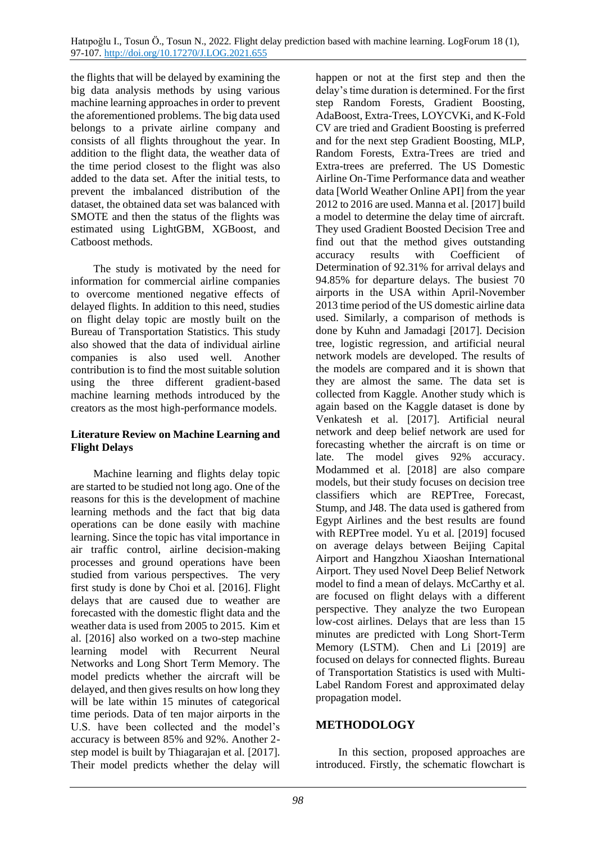the flights that will be delayed by examining the big data analysis methods by using various machine learning approaches in order to prevent the aforementioned problems. The big data used belongs to a private airline company and consists of all flights throughout the year. In addition to the flight data, the weather data of the time period closest to the flight was also added to the data set. After the initial tests, to prevent the imbalanced distribution of the dataset, the obtained data set was balanced with SMOTE and then the status of the flights was estimated using LightGBM, XGBoost, and Catboost methods.

The study is motivated by the need for information for commercial airline companies to overcome mentioned negative effects of delayed flights. In addition to this need, studies on flight delay topic are mostly built on the Bureau of Transportation Statistics. This study also showed that the data of individual airline companies is also used well. Another contribution is to find the most suitable solution using the three different gradient-based machine learning methods introduced by the creators as the most high-performance models.

### **Literature Review on Machine Learning and Flight Delays**

Machine learning and flights delay topic are started to be studied not long ago. One of the reasons for this is the development of machine learning methods and the fact that big data operations can be done easily with machine learning. Since the topic has vital importance in air traffic control, airline decision-making processes and ground operations have been studied from various perspectives. The very first study is done by Choi et al. [2016]. Flight delays that are caused due to weather are forecasted with the domestic flight data and the weather data is used from 2005 to 2015. Kim et al. [2016] also worked on a two-step machine learning model with Recurrent Neural Networks and Long Short Term Memory. The model predicts whether the aircraft will be delayed, and then gives results on how long they will be late within 15 minutes of categorical time periods. Data of ten major airports in the U.S. have been collected and the model's accuracy is between 85% and 92%. Another 2 step model is built by Thiagarajan et al. [2017]. Their model predicts whether the delay will

happen or not at the first step and then the delay's time duration is determined. For the first step Random Forests, Gradient Boosting, AdaBoost, Extra-Trees, LOYCVKi, and K-Fold CV are tried and Gradient Boosting is preferred and for the next step Gradient Boosting, MLP, Random Forests, Extra-Trees are tried and Extra-trees are preferred. The US Domestic Airline On-Time Performance data and weather data [World Weather Online API] from the year 2012 to 2016 are used. Manna et al. [2017] build a model to determine the delay time of aircraft. They used Gradient Boosted Decision Tree and find out that the method gives outstanding accuracy results with Coefficient of Determination of 92.31% for arrival delays and 94.85% for departure delays. The busiest 70 airports in the USA within April-November 2013 time period of the US domestic airline data used. Similarly, a comparison of methods is done by Kuhn and Jamadagi [2017]. Decision tree, logistic regression, and artificial neural network models are developed. The results of the models are compared and it is shown that they are almost the same. The data set is collected from Kaggle. Another study which is again based on the Kaggle dataset is done by Venkatesh et al. [2017]. Artificial neural network and deep belief network are used for forecasting whether the aircraft is on time or late. The model gives 92% accuracy. Modammed et al. [2018] are also compare models, but their study focuses on decision tree classifiers which are REPTree, Forecast, Stump, and J48. The data used is gathered from Egypt Airlines and the best results are found with REPTree model. Yu et al. [2019] focused on average delays between Beijing Capital Airport and Hangzhou Xiaoshan International Airport. They used Novel Deep Belief Network model to find a mean of delays. McCarthy et al. are focused on flight delays with a different perspective. They analyze the two European low-cost airlines. Delays that are less than 15 minutes are predicted with Long Short-Term Memory (LSTM). Chen and Li [2019] are focused on delays for connected flights. Bureau of Transportation Statistics is used with Multi-Label Random Forest and approximated delay propagation model.

# **METHODOLOGY**

In this section, proposed approaches are introduced. Firstly, the schematic flowchart is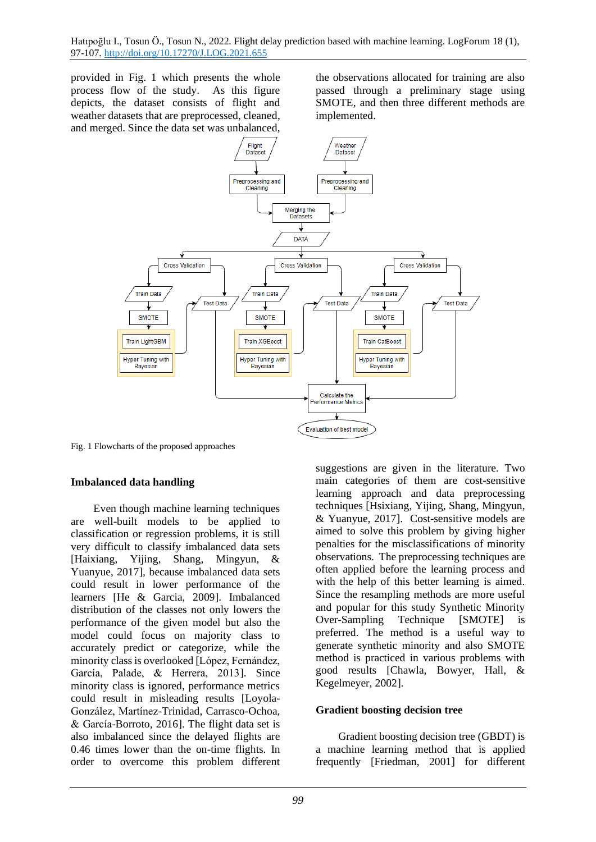provided in Fig. 1 which presents the whole process flow of the study. As this figure depicts, the dataset consists of flight and weather datasets that are preprocessed, cleaned, and merged. Since the data set was unbalanced,

the observations allocated for training are also passed through a preliminary stage using SMOTE, and then three different methods are implemented.



Fig. 1 Flowcharts of the proposed approaches

#### **Imbalanced data handling**

Even though machine learning techniques are well-built models to be applied to classification or regression problems, it is still very difficult to classify imbalanced data sets [Haixiang, Yijing, Shang, Mingyun, & Yuanyue, 2017], because imbalanced data sets could result in lower performance of the learners [He & Garcia, 2009]. Imbalanced distribution of the classes not only lowers the performance of the given model but also the model could focus on majority class to accurately predict or categorize, while the minority class is overlooked [López, Fernández, García, Palade, & Herrera, 2013]. Since minority class is ignored, performance metrics could result in misleading results [Loyola-González, Martínez-Trinidad, Carrasco-Ochoa, & García-Borroto, 2016]. The flight data set is also imbalanced since the delayed flights are 0.46 times lower than the on-time flights. In order to overcome this problem different

suggestions are given in the literature. Two main categories of them are cost-sensitive learning approach and data preprocessing techniques [Hsixiang, Yijing, Shang, Mingyun, & Yuanyue, 2017]. Cost-sensitive models are aimed to solve this problem by giving higher penalties for the misclassifications of minority observations. The preprocessing techniques are often applied before the learning process and with the help of this better learning is aimed. Since the resampling methods are more useful and popular for this study Synthetic Minority Over-Sampling Technique [SMOTE] is preferred. The method is a useful way to generate synthetic minority and also SMOTE method is practiced in various problems with good results [Chawla, Bowyer, Hall, & Kegelmeyer, 2002].

#### **Gradient boosting decision tree**

Gradient boosting decision tree (GBDT) is a machine learning method that is applied frequently [Friedman, 2001] for different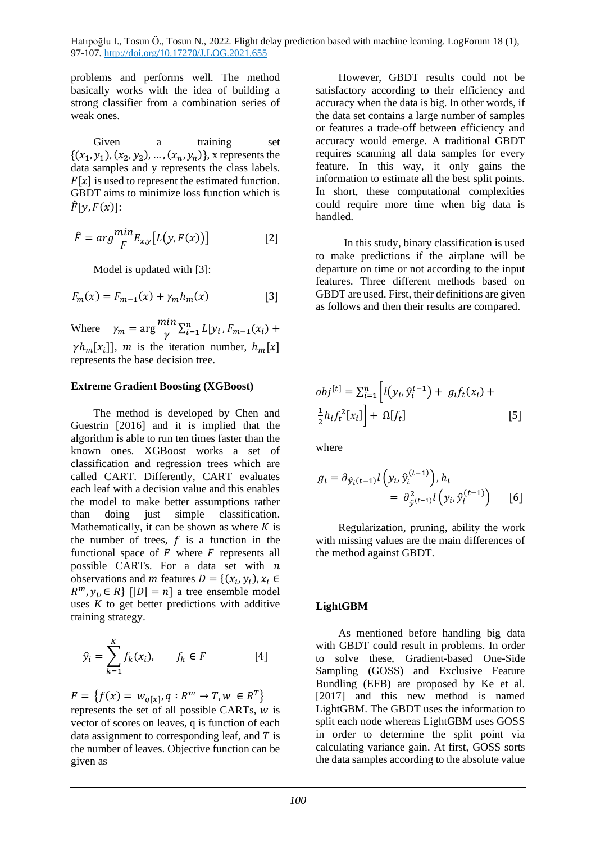problems and performs well. The method basically works with the idea of building a strong classifier from a combination series of weak ones.

Given a training set  $\{(x_1, y_1), (x_2, y_2), ..., (x_n, y_n)\}\$ , x represents the data samples and y represents the class labels.  $F[x]$  is used to represent the estimated function. GBDT aims to minimize loss function which is  $\widehat{F}[\gamma, F(x)]$ :

$$
\hat{F} = arg \frac{min}{F} E_{x,y}[L(y, F(x))]
$$
 [2]

Model is updated with [3]:

$$
F_m(x) = F_{m-1}(x) + \gamma_m h_m(x)
$$
 [3]

Where  $\gamma_m = \arg \frac{min}{v}$  $\sum_{i=1}^{n} L[y_i, F_{m-1}(x_i) +$  $\gamma h_m[x_i]$ , m is the iteration number,  $h_m[x]$ represents the base decision tree.

#### **Extreme Gradient Boosting (XGBoost)**

The method is developed by Chen and Guestrin [2016] and it is implied that the algorithm is able to run ten times faster than the known ones. XGBoost works a set of classification and regression trees which are called CART. Differently, CART evaluates each leaf with a decision value and this enables the model to make better assumptions rather than doing just simple classification. Mathematically, it can be shown as where  $K$  is the number of trees,  $f$  is a function in the functional space of  $F$  where  $F$  represents all possible CARTs. For a data set with  $n$ observations and *m* features  $D = \{(x_i, y_i), x_i \in$  $R^m$ ,  $y_i$ ,  $\in$  R} [|D| = n] a tree ensemble model uses  $K$  to get better predictions with additive training strategy.

$$
\hat{y}_i = \sum_{k=1}^K f_k(x_i), \qquad f_k \in F \tag{4}
$$

 $F = \{f(x) = w_{q[x]}, q : R^m \to T, w \in R^T\}$ represents the set of all possible CARTs,  $w$  is vector of scores on leaves, q is function of each data assignment to corresponding leaf, and  $T$  is the number of leaves. Objective function can be given as

However, GBDT results could not be satisfactory according to their efficiency and accuracy when the data is big. In other words, if the data set contains a large number of samples or features a trade-off between efficiency and accuracy would emerge. A traditional GBDT requires scanning all data samples for every feature. In this way, it only gains the information to estimate all the best split points. In short, these computational complexities could require more time when big data is handled.

 In this study, binary classification is used to make predictions if the airplane will be departure on time or not according to the input features. Three different methods based on GBDT are used. First, their definitions are given as follows and then their results are compared.

$$
obj[t] = \sum_{i=1}^{n} \left[ l(y_i, \hat{y}_i^{t-1}) + g_i f_t(x_i) + \frac{1}{2} h_i f_t^2[x_i] \right] + \Omega[f_t]
$$
\n<sup>[5]</sup>

where

$$
g_i = \partial_{\hat{y}_i(t-1)} l\left(y_i, \hat{y}_i^{(t-1)}\right), h_i
$$
  
= 
$$
\partial_{\hat{y}^{(t-1)}}^2 l\left(y_i, \hat{y}_i^{(t-1)}\right)
$$
 [6]

Regularization, pruning, ability the work with missing values are the main differences of the method against GBDT.

# **LightGBM**

As mentioned before handling big data with GBDT could result in problems. In order to solve these, Gradient-based One-Side Sampling (GOSS) and Exclusive Feature Bundling (EFB) are proposed by Ke et al. [2017] and this new method is named LightGBM. The GBDT uses the information to split each node whereas LightGBM uses GOSS in order to determine the split point via calculating variance gain. At first, GOSS sorts the data samples according to the absolute value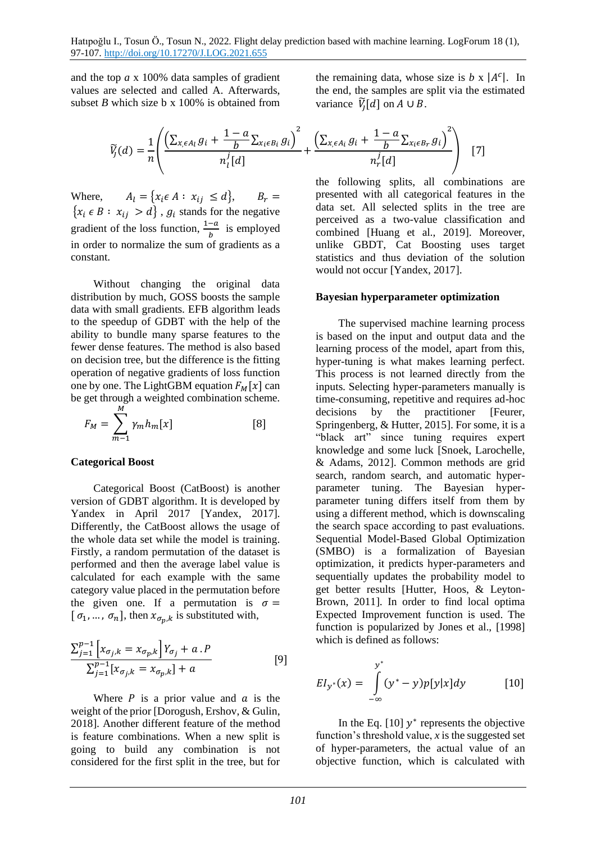and the top *a* x 100% data samples of gradient values are selected and called A. Afterwards, subset *B* which size b x  $100\%$  is obtained from

$$
\widetilde{V}_j(d) = \frac{1}{n} \left( \frac{\left(\sum_{x_i \in A_l} g_i + \frac{1-a}{b} \sum_{x_i \in B_i} g_i\right)^2}{n_i^j [d]} + \frac{\left(\sum_{x_i \in A_i} g_i + \frac{1-a}{b} \sum_{x_i \in B_r} g_i\right)^2}{n_r^j [d]} \right)
$$
[7]

Where,  $A_l = \{x_i \in A : x_{ij} \leq d\}, \qquad B_r =$  ${x_i \in B : x_{ij} > d}$ ,  $g_i$  stands for the negative gradient of the loss function,  $\frac{1-a}{b}$  is employed in order to normalize the sum of gradients as a constant.

Without changing the original data distribution by much, GOSS boosts the sample data with small gradients. EFB algorithm leads to the speedup of GDBT with the help of the ability to bundle many sparse features to the fewer dense features. The method is also based on decision tree, but the difference is the fitting operation of negative gradients of loss function one by one. The LightGBM equation  $F_M[x]$  can be get through a weighted combination scheme.

$$
F_M = \sum_{m=1}^{M} \gamma_m h_m[x] \tag{8}
$$

#### **Categorical Boost**

Categorical Boost (CatBoost) is another version of GDBT algorithm. It is developed by Yandex in April 2017 [Yandex, 2017]. Differently, the CatBoost allows the usage of the whole data set while the model is training. Firstly, a random permutation of the dataset is performed and then the average label value is calculated for each example with the same category value placed in the permutation before the given one. If a permutation is  $\sigma =$ [ $\sigma_1, \ldots, \sigma_n$ ], then  $x_{\sigma_p, k}$  is substituted with,

$$
\frac{\sum_{j=1}^{p-1} \left[ x_{\sigma_{j},k} = x_{\sigma_{p},k} \right] Y_{\sigma_{j}} + a P}{\sum_{j=1}^{p-1} \left[ x_{\sigma_{j},k} = x_{\sigma_{p},k} \right] + a}
$$
 [9]

Where  $P$  is a prior value and  $\alpha$  is the weight of the prior [Dorogush, Ershov, & Gulin, 2018]. Another different feature of the method is feature combinations. When a new split is going to build any combination is not considered for the first split in the tree, but for

the remaining data, whose size is  $b \times |A^c|$ . In the end, the samples are split via the estimated variance  $\widetilde{V}_j[d]$  on  $A \cup B$ .

$$
+\frac{b}{n_r}[d]
$$
 [7]  
the following splits, all combinations are presented with all categorical features in the data set. All selected splits in the tree are perceived as a two-value classification and combined [Huang et al., 2019]. Moreover, unlike GBDT, Cat Boosting uses target

#### **Bayesian hyperparameter optimization**

would not occur [Yandex, 2017].

statistics and thus deviation of the solution

The supervised machine learning process is based on the input and output data and the learning process of the model, apart from this, hyper-tuning is what makes learning perfect. This process is not learned directly from the inputs. Selecting hyper-parameters manually is time-consuming, repetitive and requires ad-hoc decisions by the practitioner [Feurer, Springenberg, & Hutter, 2015]. For some, it is a "black art" since tuning requires expert knowledge and some luck [Snoek, Larochelle, & Adams, 2012]. Common methods are grid search, random search, and automatic hyperparameter tuning. The Bayesian hyperparameter tuning differs itself from them by using a different method, which is downscaling the search space according to past evaluations. Sequential Model-Based Global Optimization (SMBO) is a formalization of Bayesian optimization, it predicts hyper-parameters and sequentially updates the probability model to get better results [Hutter, Hoos, & Leyton-Brown, 2011]. In order to find local optima Expected Improvement function is used. The function is popularized by Jones et al., [1998] which is defined as follows:

$$
EI_{y^*}(x) = \int_{-\infty}^{y^*} (y^* - y)p[y|x]dy
$$
 [10]

In the Eq.  $[10]$   $y^*$  represents the objective function's threshold value, *x* is the suggested set of hyper-parameters, the actual value of an objective function, which is calculated with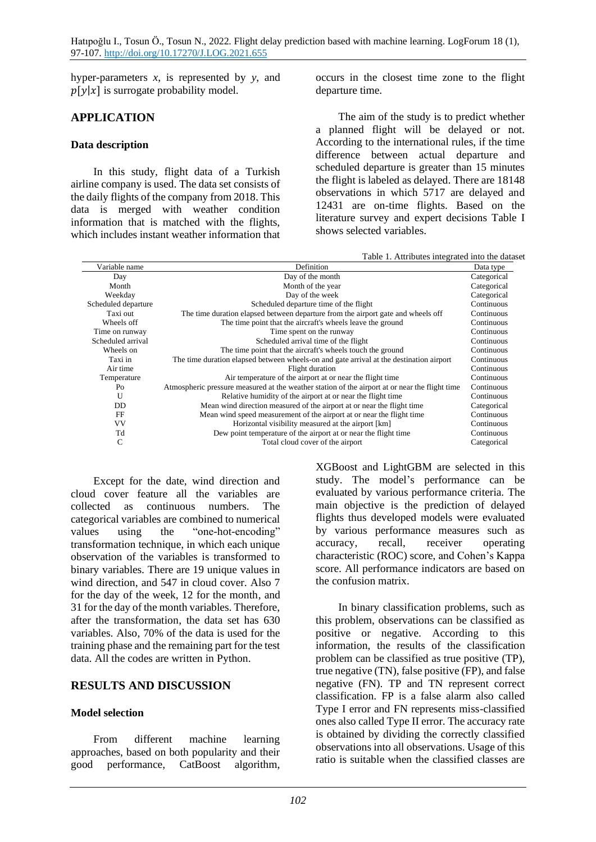hyper-parameters *x*, is represented by *y*, and  $p[y|x]$  is surrogate probability model.

# **APPLICATION**

### **Data description**

In this study, flight data of a Turkish airline company is used. The data set consists of the daily flights of the company from 2018. This data is merged with weather condition information that is matched with the flights, which includes instant weather information that occurs in the closest time zone to the flight departure time.

The aim of the study is to predict whether a planned flight will be delayed or not. According to the international rules, if the time difference between actual departure and scheduled departure is greater than 15 minutes the flight is labeled as delayed. There are 18148 observations in which 5717 are delayed and 12431 are on-time flights. Based on the literature survey and expert decisions Table I shows selected variables.

Table 1. Attributes integrated into the dataset

|                     | Table 1. Attributes integrated filly the datase                                                |             |  |  |  |  |  |  |
|---------------------|------------------------------------------------------------------------------------------------|-------------|--|--|--|--|--|--|
| Variable name       | Definition                                                                                     |             |  |  |  |  |  |  |
| Day                 | Day of the month                                                                               | Categorical |  |  |  |  |  |  |
| Month               | Month of the year                                                                              | Categorical |  |  |  |  |  |  |
| Weekday             | Day of the week                                                                                | Categorical |  |  |  |  |  |  |
| Scheduled departure | Scheduled departure time of the flight                                                         | Continuous  |  |  |  |  |  |  |
| Taxi out            | The time duration elapsed between departure from the airport gate and wheels off               | Continuous  |  |  |  |  |  |  |
| Wheels off          | The time point that the aircraft's wheels leave the ground                                     | Continuous  |  |  |  |  |  |  |
| Time on runway      | Time spent on the runway                                                                       | Continuous  |  |  |  |  |  |  |
| Scheduled arrival   | Scheduled arrival time of the flight                                                           | Continuous  |  |  |  |  |  |  |
| Wheels on           | The time point that the aircraft's wheels touch the ground                                     | Continuous  |  |  |  |  |  |  |
| Taxi in             | The time duration elapsed between wheels-on and gate arrival at the destination airport        | Continuous  |  |  |  |  |  |  |
| Air time            | Flight duration                                                                                | Continuous  |  |  |  |  |  |  |
| Temperature         | Air temperature of the airport at or near the flight time                                      | Continuous  |  |  |  |  |  |  |
| $P_{O}$             | Atmospheric pressure measured at the weather station of the airport at or near the flight time | Continuous  |  |  |  |  |  |  |
| U                   | Relative humidity of the airport at or near the flight time                                    | Continuous  |  |  |  |  |  |  |
| DD.                 | Mean wind direction measured of the airport at or near the flight time                         | Categorical |  |  |  |  |  |  |
| FF                  | Mean wind speed measurement of the airport at or near the flight time                          | Continuous  |  |  |  |  |  |  |
| VV                  | Horizontal visibility measured at the airport [km]                                             | Continuous  |  |  |  |  |  |  |
| Td                  | Dew point temperature of the airport at or near the flight time                                | Continuous  |  |  |  |  |  |  |
| C                   | Total cloud cover of the airport                                                               | Categorical |  |  |  |  |  |  |

Except for the date, wind direction and cloud cover feature all the variables are collected as continuous numbers. The categorical variables are combined to numerical values using the "one-hot-encoding" transformation technique, in which each unique observation of the variables is transformed to binary variables. There are 19 unique values in wind direction, and 547 in cloud cover. Also 7 for the day of the week, 12 for the month, and 31 for the day of the month variables. Therefore, after the transformation, the data set has 630 variables. Also, 70% of the data is used for the training phase and the remaining part for the test data. All the codes are written in Python.

# **RESULTS AND DISCUSSION**

# **Model selection**

From different machine learning approaches, based on both popularity and their good performance, CatBoost algorithm, XGBoost and LightGBM are selected in this study. The model's performance can be evaluated by various performance criteria. The main objective is the prediction of delayed flights thus developed models were evaluated by various performance measures such as accuracy, recall, receiver operating characteristic (ROC) score, and Cohen's Kappa score. All performance indicators are based on the confusion matrix.

In binary classification problems, such as this problem, observations can be classified as positive or negative. According to this information, the results of the classification problem can be classified as true positive (TP), true negative (TN), false positive (FP), and false negative (FN). TP and TN represent correct classification. FP is a false alarm also called Type I error and FN represents miss-classified ones also called Type II error. The accuracy rate is obtained by dividing the correctly classified observations into all observations. Usage of this ratio is suitable when the classified classes are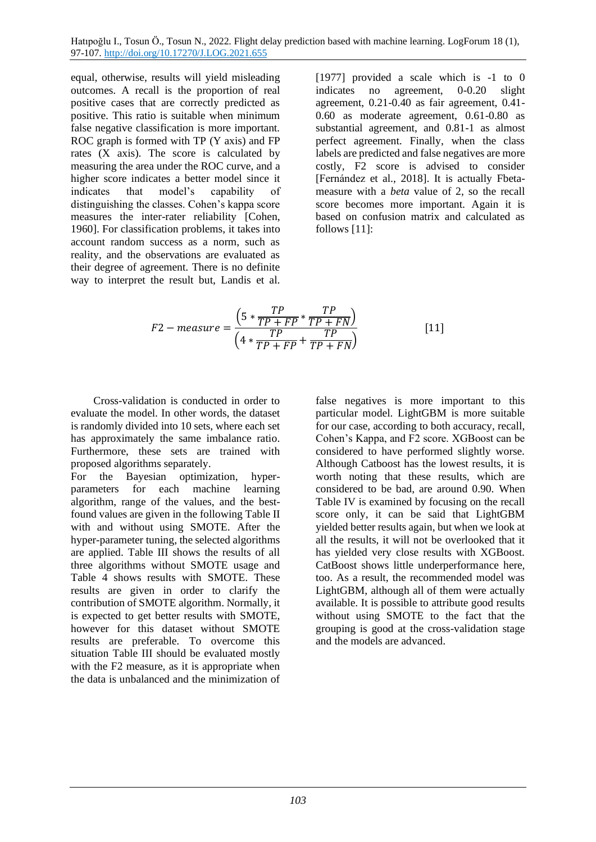equal, otherwise, results will yield misleading outcomes. A recall is the proportion of real positive cases that are correctly predicted as positive. This ratio is suitable when minimum false negative classification is more important. ROC graph is formed with TP (Y axis) and FP rates (X axis). The score is calculated by measuring the area under the ROC curve, and a higher score indicates a better model since it indicates that model's capability of distinguishing the classes. Cohen's kappa score measures the inter-rater reliability [Cohen, 1960]. For classification problems, it takes into account random success as a norm, such as reality, and the observations are evaluated as their degree of agreement. There is no definite way to interpret the result but, Landis et al. [1977] provided a scale which is  $-1$  to 0 indicates no agreement, 0-0.20 slight agreement, 0.21-0.40 as fair agreement, 0.41- 0.60 as moderate agreement, 0.61-0.80 as substantial agreement, and 0.81-1 as almost perfect agreement. Finally, when the class labels are predicted and false negatives are more costly, F2 score is advised to consider [Fernández et al., 2018]. It is actually Fbetameasure with a *beta* value of 2, so the recall score becomes more important. Again it is based on confusion matrix and calculated as follows [11]:

$$
F2-measure = \frac{\left(5*\frac{TP}{TP+FP}*\frac{TP}{TP+FN}\right)}{\left(4*\frac{TP}{TP+FP}+\frac{TP}{TP+FN}\right)}
$$
[11]

Cross-validation is conducted in order to evaluate the model. In other words, the dataset is randomly divided into 10 sets, where each set has approximately the same imbalance ratio. Furthermore, these sets are trained with proposed algorithms separately.

For the Bayesian optimization, hyperparameters for each machine learning algorithm, range of the values, and the bestfound values are given in the following Table II with and without using SMOTE. After the hyper-parameter tuning, the selected algorithms are applied. Table III shows the results of all three algorithms without SMOTE usage and Table 4 shows results with SMOTE. These results are given in order to clarify the contribution of SMOTE algorithm. Normally, it is expected to get better results with SMOTE, however for this dataset without SMOTE results are preferable. To overcome this situation Table III should be evaluated mostly with the F2 measure, as it is appropriate when the data is unbalanced and the minimization of

false negatives is more important to this particular model. LightGBM is more suitable for our case, according to both accuracy, recall, Cohen's Kappa, and F2 score. XGBoost can be considered to have performed slightly worse. Although Catboost has the lowest results, it is worth noting that these results, which are considered to be bad, are around 0.90. When Table IV is examined by focusing on the recall score only, it can be said that LightGBM yielded better results again, but when we look at all the results, it will not be overlooked that it has yielded very close results with XGBoost. CatBoost shows little underperformance here, too. As a result, the recommended model was LightGBM, although all of them were actually available. It is possible to attribute good results without using SMOTE to the fact that the grouping is good at the cross-validation stage and the models are advanced.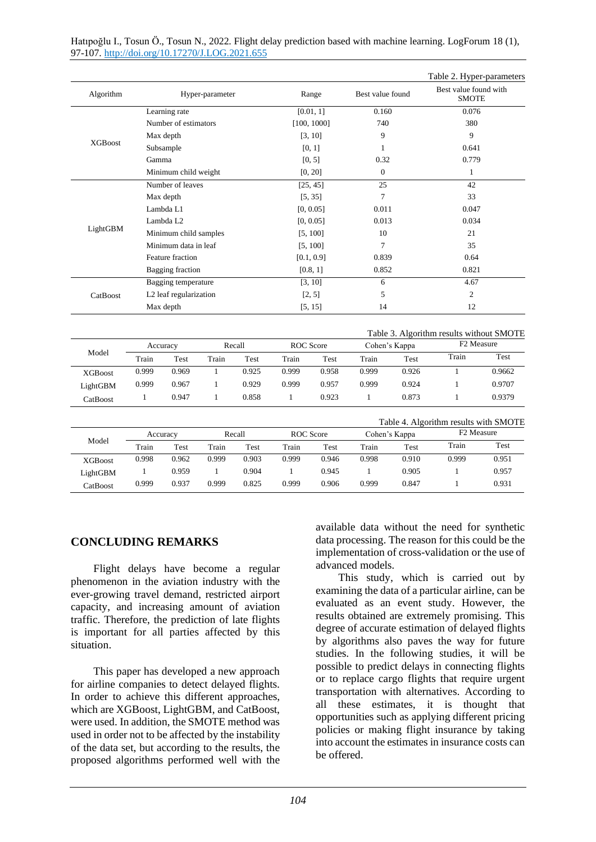|                |                        |                            |              |                  |                  |                |                                       |                        | Table 2. Hyper-parameters                |        |  |
|----------------|------------------------|----------------------------|--------------|------------------|------------------|----------------|---------------------------------------|------------------------|------------------------------------------|--------|--|
| Algorithm      | Hyper-parameter        |                            | Range        |                  | Best value found |                | Best value found with<br><b>SMOTE</b> |                        |                                          |        |  |
| <b>XGBoost</b> | Learning rate          |                            |              | [0.01, 1]        |                  | 0.160          |                                       | 0.076                  |                                          |        |  |
|                |                        | Number of estimators       |              |                  |                  | [100, 1000]    |                                       | 740                    |                                          | 380    |  |
|                | Max depth              |                            |              | [3, 10]          |                  | 9              |                                       | 9                      |                                          |        |  |
|                | Subsample              |                            |              |                  | [0, 1]           |                | 1                                     |                        | 0.641                                    |        |  |
|                | Gamma                  |                            |              |                  | [0, 5]           |                | 0.32                                  |                        | 0.779                                    |        |  |
|                | Minimum child weight   |                            |              | [0, 20]          |                  | $\mathbf{0}$   |                                       | $\mathbf{1}$           |                                          |        |  |
| LightGBM       | Number of leaves       |                            |              | [25, 45]         |                  | 25             |                                       | 42                     |                                          |        |  |
|                | Max depth              |                            |              | [5, 35]          |                  | $\overline{7}$ |                                       | 33                     |                                          |        |  |
|                |                        | Lambda L1                  |              |                  | [0, 0.05]        |                | 0.011                                 |                        | 0.047                                    |        |  |
|                |                        | Lambda L2                  |              |                  | [0, 0.05]        |                | 0.013                                 |                        | 0.034                                    |        |  |
|                |                        | Minimum child samples      |              |                  | [5, 100]         |                | 10                                    |                        | 21                                       |        |  |
|                |                        | Minimum data in leaf       |              |                  | [5, 100]         |                | 7                                     |                        | 35                                       |        |  |
|                |                        | Feature fraction           |              |                  | [0.1, 0.9]       |                | 0.839                                 |                        | 0.64                                     |        |  |
|                |                        | <b>Bagging</b> fraction    |              |                  | [0.8, 1]         |                | 0.852                                 |                        | 0.821                                    |        |  |
| CatBoost       |                        | <b>Bagging temperature</b> |              |                  | [3, 10]          |                | 6                                     |                        | 4.67                                     |        |  |
|                | L2 leaf regularization |                            |              | [2, 5]           |                  | 5              |                                       | $\overline{2}$         |                                          |        |  |
|                | Max depth              |                            |              | [5, 15]          |                  | 14             |                                       | 12                     |                                          |        |  |
|                |                        |                            |              |                  |                  |                |                                       |                        | Table 3. Algorithm results without SMOTE |        |  |
| Model          | Accuracy               |                            | Recall       |                  | <b>ROC</b> Score |                | Cohen's Kappa                         |                        | F <sub>2</sub> Measure                   |        |  |
|                | Train                  | Test                       | Train        | Test             | Train            | Test           | Train                                 | Test                   | Train                                    | Test   |  |
| <b>XGBoost</b> | 0.999                  | 0.969                      | 1            | 0.925            | 0.999            | 0.958          | 0.999                                 | 0.926                  | $\mathbf{1}$                             | 0.9662 |  |
| LightGBM       | 0.999                  | 0.967                      | 1            | 0.929            | 0.999            | 0.957          | 0.999                                 | 0.924                  | 1                                        | 0.9707 |  |
| CatBoost       | $\mathbf{1}$           | 0.947                      | $\mathbf{1}$ | 0.858            | $\mathbf{1}$     | 0.923          | $\mathbf{1}$                          | 0.873                  | $\mathbf{1}$                             | 0.9379 |  |
|                |                        |                            |              |                  |                  |                |                                       |                        | Table 4. Algorithm results with SMOTE    |        |  |
| Model          |                        | Recall<br>Accuracy         |              | <b>ROC</b> Score |                  | Cohen's Kappa  |                                       | F <sub>2</sub> Measure |                                          |        |  |
|                | Train                  | Test                       | Train        | Test             | Train            | <b>Test</b>    | Train                                 | Test                   | Train                                    | Test   |  |
|                | 0.998                  | 0.962                      | 0.999        | 0.903            | 0.999            | 0.946          | 0.998                                 | 0.910                  | 0.999                                    | 0.951  |  |
| <b>XGBoost</b> |                        |                            |              |                  |                  |                |                                       |                        |                                          |        |  |
| LightGBM       | 1                      | 0.959                      | $\mathbf{1}$ | 0.904            | $\mathbf{1}$     | 0.945          | $\mathbf{1}$                          | 0.905                  | 1                                        | 0.957  |  |

# **CONCLUDING REMARKS**

Flight delays have become a regular phenomenon in the aviation industry with the ever-growing travel demand, restricted airport capacity, and increasing amount of aviation traffic. Therefore, the prediction of late flights is important for all parties affected by this situation.

This paper has developed a new approach for airline companies to detect delayed flights. In order to achieve this different approaches, which are XGBoost, LightGBM, and CatBoost, were used. In addition, the SMOTE method was used in order not to be affected by the instability of the data set, but according to the results, the proposed algorithms performed well with the

available data without the need for synthetic data processing. The reason for this could be the implementation of cross-validation or the use of advanced models.

This study, which is carried out by examining the data of a particular airline, can be evaluated as an event study. However, the results obtained are extremely promising. This degree of accurate estimation of delayed flights by algorithms also paves the way for future studies. In the following studies, it will be possible to predict delays in connecting flights or to replace cargo flights that require urgent transportation with alternatives. According to all these estimates, it is thought that opportunities such as applying different pricing policies or making flight insurance by taking into account the estimates in insurance costs can be offered.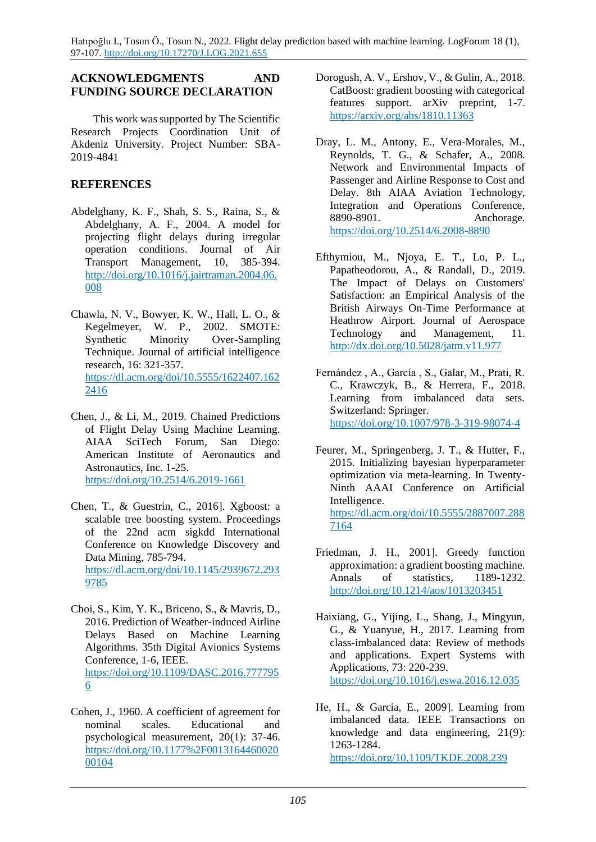### **ACKNOWLEDGMENTS AND FUNDING SOURCE DECLARATION**

This work was supported by The Scientific Research Projects Coordination Unit of Akdeniz University. Project Number: SBA-2019-4841

# **REFERENCES**

- Abdelghany, K. F., Shah, S. S., Raina, S., & Abdelghany, A. F., 2004. A model for projecting flight delays during irregular operation conditions. Journal of Air Transport Management, 10, 385-394. [http://doi.org/10.1016/j.jairtraman.2004.06.](http://doi.org/10.1016/j.jairtraman.2004.06.008) [008](http://doi.org/10.1016/j.jairtraman.2004.06.008)
- Chawla, N. V., Bowyer, K. W., Hall, L. O., & Kegelmeyer, W. P., 2002. SMOTE: Synthetic Minority Over-Sampling Technique. Journal of artificial intelligence research, 16: 321-357. [https://dl.acm.org/doi/10.5555/1622407.162](https://dl.acm.org/doi/10.5555/1622407.1622416) [2416](https://dl.acm.org/doi/10.5555/1622407.1622416)
- Chen, J., & Li, M., 2019. Chained Predictions of Flight Delay Using Machine Learning. AIAA SciTech Forum, San Diego: American Institute of Aeronautics and Astronautics, Inc. 1-25. <https://doi.org/10.2514/6.2019-1661>
- Chen, T., & Guestrin, C., 2016]. Xgboost: a scalable tree boosting system. Proceedings of the 22nd acm sigkdd International Conference on Knowledge Discovery and Data Mining, 785-794. [https://dl.acm.org/doi/10.1145/2939672.293](https://dl.acm.org/doi/10.1145/2939672.2939785) [9785](https://dl.acm.org/doi/10.1145/2939672.2939785)
- Choi, S., Kim, Y. K., Briceno, S., & Mavris, D., 2016. Prediction of Weather-induced Airline Delays Based on Machine Learning Algorithms. 35th Digital Avionics Systems Conference, 1-6, IEEE. [https://doi.org/10.1109/DASC.2016.777795](https://doi.org/10.1109/DASC.2016.7777956) [6](https://doi.org/10.1109/DASC.2016.7777956)
- Cohen, J., 1960. A coefficient of agreement for nominal scales. Educational and psychological measurement, 20(1): 37-46. [https://doi.org/10.1177%2F0013164460020](https://doi.org/10.1177%2F001316446002000104) [00104](https://doi.org/10.1177%2F001316446002000104)
- Dorogush, A. V., Ershov, V., & Gulin, A., 2018. CatBoost: gradient boosting with categorical features support. arXiv preprint, 1-7. <https://arxiv.org/abs/1810.11363>
- Dray, L. M., Antony, E., Vera-Morales, M., Reynolds, T. G., & Schafer, A., 2008. Network and Environmental Impacts of Passenger and Airline Response to Cost and Delay. 8th AIAA Aviation Technology, Integration and Operations Conference, 8890-8901. Anchorage. <https://doi.org/10.2514/6.2008-8890>
- Efthymiou, M., Njoya, E. T., Lo, P. L., Papatheodorou, A., & Randall, D., 2019. The Impact of Delays on Customers' Satisfaction: an Empirical Analysis of the British Airways On-Time Performance at Heathrow Airport. Journal of Aerospace Technology and Management, 11. <http://dx.doi.org/10.5028/jatm.v11.977>
- Fernández , A., García , S., Galar, M., Prati, R. C., Krawczyk, B., & Herrera, F., 2018. Learning from imbalanced data sets. Switzerland: Springer. <https://doi.org/10.1007/978-3-319-98074-4>
- Feurer, M., Springenberg, J. T., & Hutter, F., 2015. Initializing bayesian hyperparameter optimization via meta-learning. In Twenty-Ninth AAAI Conference on Artificial Intelligence. [https://dl.acm.org/doi/10.5555/2887007.288](https://dl.acm.org/doi/10.5555/2887007.2887164) [7164](https://dl.acm.org/doi/10.5555/2887007.2887164)
- Friedman, J. H., 2001]. Greedy function approximation: a gradient boosting machine. Annals of statistics, 1189-1232. <http://doi.org/10.1214/aos/1013203451>
- Haixiang, G., Yijing, L., Shang, J., Mingyun, G., & Yuanyue, H., 2017. Learning from class-imbalanced data: Review of methods and applications. Expert Systems with Applications, 73: 220-239. <https://doi.org/10.1016/j.eswa.2016.12.035>
- He, H., & Garcia, E., 2009]. Learning from imbalanced data. IEEE Transactions on knowledge and data engineering, 21(9): 1263-1284. <https://doi.org/10.1109/TKDE.2008.239>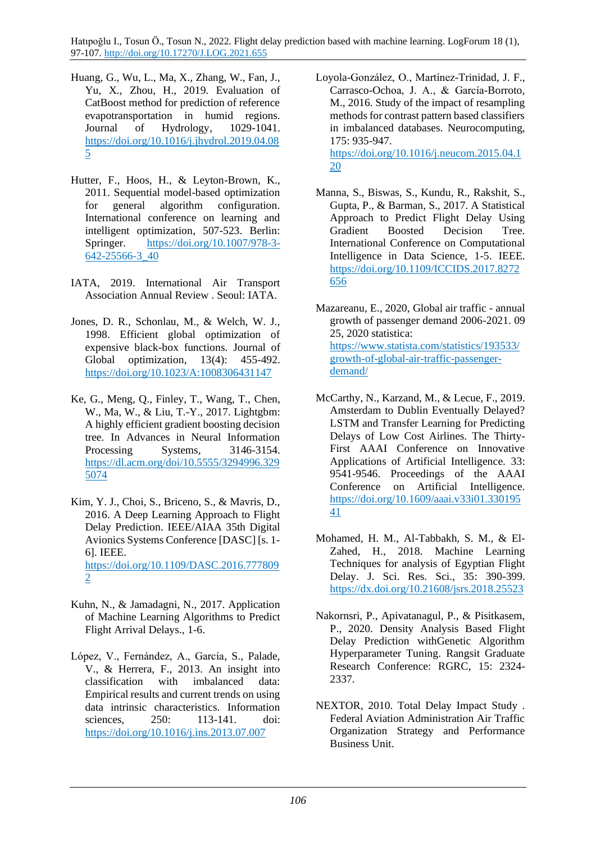- Huang, G., Wu, L., Ma, X., Zhang, W., Fan, J., Yu, X., Zhou, H., 2019. Evaluation of CatBoost method for prediction of reference evapotransportation in humid regions. Journal of Hydrology, 1029-1041. [https://doi.org/10.1016/j.jhydrol.2019.04.08](https://doi.org/10.1016/j.jhydrol.2019.04.085) [5](https://doi.org/10.1016/j.jhydrol.2019.04.085)
- Hutter, F., Hoos, H., & Leyton-Brown, K., 2011. Sequential model-based optimization for general algorithm configuration. International conference on learning and intelligent optimization, 507-523. Berlin: Springer. [https://doi.org/10.1007/978-3-](https://doi.org/10.1007/978-3-642-25566-3_40) [642-25566-3\\_40](https://doi.org/10.1007/978-3-642-25566-3_40)
- IATA, 2019. International Air Transport Association Annual Review . Seoul: IATA.
- Jones, D. R., Schonlau, M., & Welch, W. J., 1998. Efficient global optimization of expensive black-box functions. Journal of Global optimization, 13(4): 455-492. <https://doi.org/10.1023/A:1008306431147>
- Ke, G., Meng, Q., Finley, T., Wang, T., Chen, W., Ma, W., & Liu, T.-Y., 2017. Lightgbm: A highly efficient gradient boosting decision tree. In Advances in Neural Information Processing Systems, 3146-3154. [https://dl.acm.org/doi/10.5555/3294996.329](https://dl.acm.org/doi/10.5555/3294996.3295074) [5074](https://dl.acm.org/doi/10.5555/3294996.3295074)
- Kim, Y. J., Choi, S., Briceno, S., & Mavris, D., 2016. A Deep Learning Approach to Flight Delay Prediction. IEEE/AIAA 35th Digital Avionics Systems Conference [DASC] [s. 1- 6]. IEEE. [https://doi.org/10.1109/DASC.2016.777809](https://doi.org/10.1109/DASC.2016.7778092) [2](https://doi.org/10.1109/DASC.2016.7778092)
- Kuhn, N., & Jamadagni, N., 2017. Application of Machine Learning Algorithms to Predict Flight Arrival Delays., 1-6.
- López, V., Fernández, A., García, S., Palade, V., & Herrera, F., 2013. An insight into classification with imbalanced data: Empirical results and current trends on using data intrinsic characteristics. Information sciences, 250: 113-141. doi: <https://doi.org/10.1016/j.ins.2013.07.007>

Loyola-González, O., Martínez-Trinidad, J. F., Carrasco-Ochoa, J. A., & García-Borroto, M., 2016. Study of the impact of resampling methods for contrast pattern based classifiers in imbalanced databases. Neurocomputing, 175: 935-947. [https://doi.org/10.1016/j.neucom.2015.04.1](https://doi.org/10.1016/j.neucom.2015.04.120) [20](https://doi.org/10.1016/j.neucom.2015.04.120)

- Manna, S., Biswas, S., Kundu, R., Rakshit, S., Gupta, P., & Barman, S., 2017. A Statistical Approach to Predict Flight Delay Using Gradient Boosted Decision Tree. International Conference on Computational Intelligence in Data Science, 1-5. IEEE. [https://doi.org/10.1109/ICCIDS.2017.8272](https://doi.org/10.1109/ICCIDS.2017.8272656) [656](https://doi.org/10.1109/ICCIDS.2017.8272656)
- Mazareanu, E., 2020, Global air traffic annual growth of passenger demand 2006-2021. 09 25, 2020 statistica: [https://www.statista.com/statistics/193533/](https://www.statista.com/statistics/193533/growth-of-global-air-traffic-passenger-demand/) [growth-of-global-air-traffic-passenger](https://www.statista.com/statistics/193533/growth-of-global-air-traffic-passenger-demand/)[demand/](https://www.statista.com/statistics/193533/growth-of-global-air-traffic-passenger-demand/)
- McCarthy, N., Karzand, M., & Lecue, F., 2019. Amsterdam to Dublin Eventually Delayed? LSTM and Transfer Learning for Predicting Delays of Low Cost Airlines. The Thirty-First AAAI Conference on Innovative Applications of Artificial Intelligence. 33: 9541-9546. Proceedings of the AAAI Conference on Artificial Intelligence. [https://doi.org/10.1609/aaai.v33i01.330195](https://doi.org/10.1609/aaai.v33i01.33019541) [41](https://doi.org/10.1609/aaai.v33i01.33019541)
- Mohamed, H. M., Al-Tabbakh, S. M., & El-Zahed, H., 2018. Machine Learning Techniques for analysis of Egyptian Flight Delay. J. Sci. Res. Sci., 35: 390-399. <https://dx.doi.org/10.21608/jsrs.2018.25523>
- Nakornsri, P., Apivatanagul, P., & Pisitkasem, P., 2020. Density Analysis Based Flight Delay Prediction withGenetic Algorithm Hyperparameter Tuning. Rangsit Graduate Research Conference: RGRC, 15: 2324- 2337.
- NEXTOR, 2010. Total Delay Impact Study . Federal Aviation Administration Air Traffic Organization Strategy and Performance Business Unit.